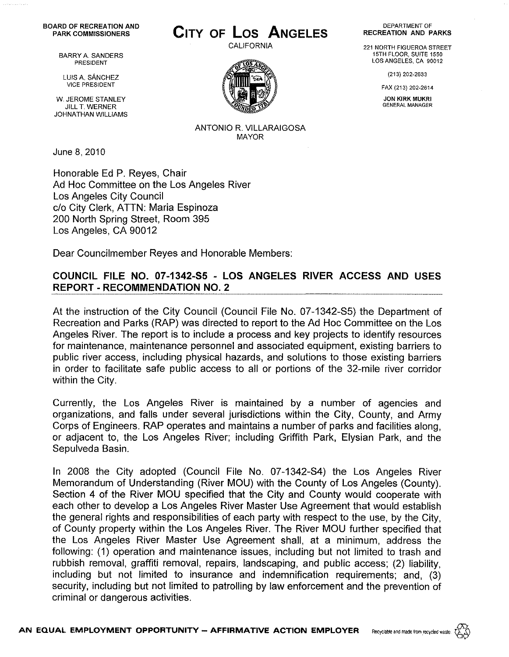## BOARD OF RECREATION AND<br>PARK COMMISSIONERS

BARRY A SANDERS PRESIDENT

LUIS A. SANCHEZ VICE PRESIDENT

W. JEROME STANLEY JILL T. WERNER JOHNATHAN WILLIAMS

June 8, 2010

Honorable Ed P. Reyes, Chair Ad Hoc Committee on the Los Angeles River Los Angeles City Council c/o City Clerk, ATTN: Maria Espinoza 200 North Spring Street, Room 395 Los Angeles, CA 90012

Dear Councilmember Reyes and Honorable Members:

## COUNCIL FILE NO. 07-1342-S5 - LOS ANGELES RIVER ACCESS AND USES REPORT - RECOMMENDATION NO.2

At the instruction of the City Council (Council File No. 07-1342-S5) the Department of Recreation and Parks (RAP) was directed to report to the Ad Hoc Committee on the Los Angeles River. The report is to include a process and key projects to identify resources for maintenance, maintenance personnel and associated equipment, existing barriers to public river access, including physical hazards, and solutions to those existing barriers in order to facilitate safe public access to all or portions of the 32-mile river corridor within the City.

Currently, the Los Angeles River is maintained by a number of agencies and organizations, and falls under several jurisdictions within the City, County, and Army Corps of Engineers. RAP operates and maintains a number of parks and facilities along, or adjacent to, the Los Angeles River; including Griffith Park, Elysian Park, and the Sepulveda Basin.

In 2008 the City adopted (Council File No. 07-1342-S4) the Los Angeles River Memorandum of Understanding (River MOU) with the County of Los Angeles (County). Section 4 of the River MOU specified that the City and County would cooperate with each other to develop a Los Angeles River Master Use Agreement that would establish the general rights and responsibilities of each party with respect to the use, by the City, of County property within the Los Angeles River. The River MOU further specified that the Los Angeles River Master Use Agreement shall, at a minimum, address the following: (1) operation and maintenance issues, including but not limited to trash and rubbish removal, graffiti removal, repairs, landscaping, and public access; (2) liability, including but not limited to insurance and indemnification requirements; and, (3) security, including but not limited to patrolling by law enforcement and the prevention of criminal or dangerous activities.

## PARK COMMISSIONERS **CITY OF Los ANGELES**

CALIFORNIA



ANTONIO R. VILLARAIGOSA MAYOR

DEPARTMENT OF RECREATION AND PARKS

221 NORTH FIGUEROA STREET 15TH FLOOR, SUITE 1550 LOS ANGELES, CA 90012

(213) 202-2633

FAX (213) 202·2614

**JON KIRK MUKRI** GENERAL MANAGER